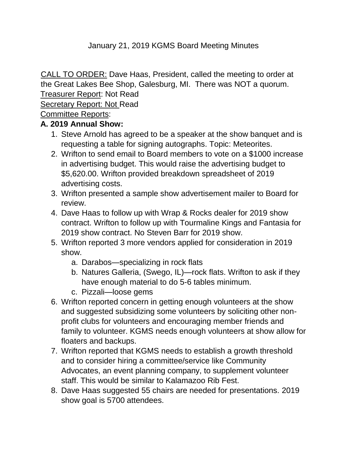# January 21, 2019 KGMS Board Meeting Minutes

CALL TO ORDER: Dave Haas, President, called the meeting to order at the Great Lakes Bee Shop, Galesburg, MI. There was NOT a quorum. Treasurer Report: Not Read

Secretary Report: Not Read

Committee Reports:

# **A. 2019 Annual Show:**

- 1. Steve Arnold has agreed to be a speaker at the show banquet and is requesting a table for signing autographs. Topic: Meteorites.
- 2. Wrifton to send email to Board members to vote on a \$1000 increase in advertising budget. This would raise the advertising budget to \$5,620.00. Wrifton provided breakdown spreadsheet of 2019 advertising costs.
- 3. Wrifton presented a sample show advertisement mailer to Board for review.
- 4. Dave Haas to follow up with Wrap & Rocks dealer for 2019 show contract. Wrifton to follow up with Tourmaline Kings and Fantasia for 2019 show contract. No Steven Barr for 2019 show.
- 5. Wrifton reported 3 more vendors applied for consideration in 2019 show.
	- a. Darabos—specializing in rock flats
	- b. Natures Galleria, (Swego, IL)—rock flats. Wrifton to ask if they have enough material to do 5-6 tables minimum.
	- c. Pizzali—loose gems
- 6. Wrifton reported concern in getting enough volunteers at the show and suggested subsidizing some volunteers by soliciting other nonprofit clubs for volunteers and encouraging member friends and family to volunteer. KGMS needs enough volunteers at show allow for floaters and backups.
- 7. Wrifton reported that KGMS needs to establish a growth threshold and to consider hiring a committee/service like Community Advocates, an event planning company, to supplement volunteer staff. This would be similar to Kalamazoo Rib Fest.
- 8. Dave Haas suggested 55 chairs are needed for presentations. 2019 show goal is 5700 attendees.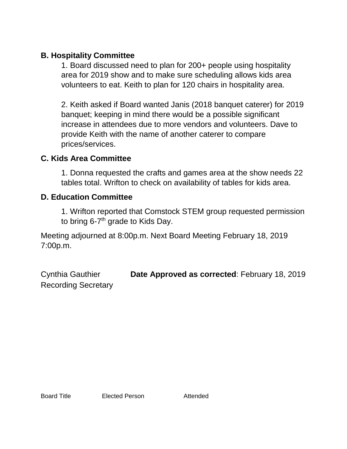## **B. Hospitality Committee**

1. Board discussed need to plan for 200+ people using hospitality area for 2019 show and to make sure scheduling allows kids area volunteers to eat. Keith to plan for 120 chairs in hospitality area.

2. Keith asked if Board wanted Janis (2018 banquet caterer) for 2019 banquet; keeping in mind there would be a possible significant increase in attendees due to more vendors and volunteers. Dave to provide Keith with the name of another caterer to compare prices/services.

# **C. Kids Area Committee**

1. Donna requested the crafts and games area at the show needs 22 tables total. Wrifton to check on availability of tables for kids area.

## **D. Education Committee**

1. Wrifton reported that Comstock STEM group requested permission to bring 6-7<sup>th</sup> grade to Kids Day.

Meeting adjourned at 8:00p.m. Next Board Meeting February 18, 2019 7:00p.m.

Cynthia Gauthier **Date Approved as corrected**: February 18, 2019 Recording Secretary